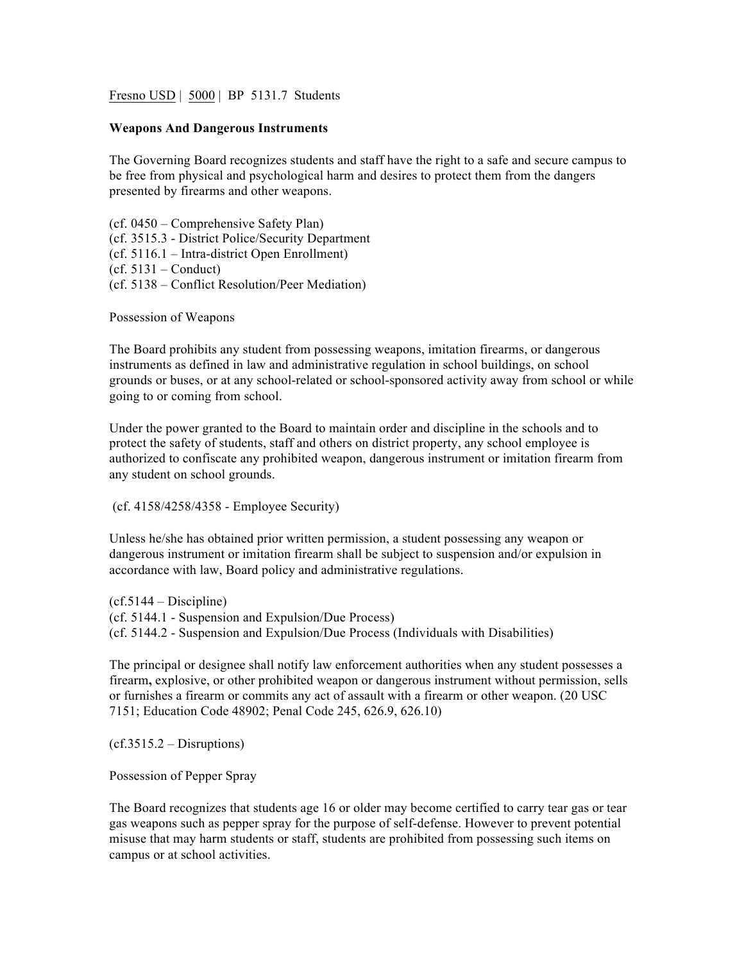Fresno USD | 5000 | BP 5131.7 Students

## **Weapons And Dangerous Instruments**

The Governing Board recognizes students and staff have the right to a safe and secure campus to be free from physical and psychological harm and desires to protect them from the dangers presented by firearms and other weapons.

(cf. 0450 – Comprehensive Safety Plan) (cf. 3515.3 - District Police/Security Department (cf. 5116.1 – Intra-district Open Enrollment)  $(cf. 5131 - Conduct)$ (cf. 5138 – Conflict Resolution/Peer Mediation)

Possession of Weapons

The Board prohibits any student from possessing weapons, imitation firearms, or dangerous instruments as defined in law and administrative regulation in school buildings, on school grounds or buses, or at any school-related or school-sponsored activity away from school or while going to or coming from school.

Under the power granted to the Board to maintain order and discipline in the schools and to protect the safety of students, staff and others on district property, any school employee is authorized to confiscate any prohibited weapon, dangerous instrument or imitation firearm from any student on school grounds.

(cf. 4158/4258/4358 - Employee Security)

Unless he/she has obtained prior written permission, a student possessing any weapon or dangerous instrument or imitation firearm shall be subject to suspension and/or expulsion in accordance with law, Board policy and administrative regulations.

 $(cf.5144 - Discpline)$ (cf. 5144.1 - Suspension and Expulsion/Due Process) (cf. 5144.2 - Suspension and Expulsion/Due Process (Individuals with Disabilities)

The principal or designee shall notify law enforcement authorities when any student possesses a firearm**,** explosive, or other prohibited weapon or dangerous instrument without permission, sells or furnishes a firearm or commits any act of assault with a firearm or other weapon. (20 USC 7151; Education Code 48902; Penal Code 245, 626.9, 626.10)

 $(cf.3515.2 - Distributions)$ 

Possession of Pepper Spray

The Board recognizes that students age 16 or older may become certified to carry tear gas or tear gas weapons such as pepper spray for the purpose of self-defense. However to prevent potential misuse that may harm students or staff, students are prohibited from possessing such items on campus or at school activities.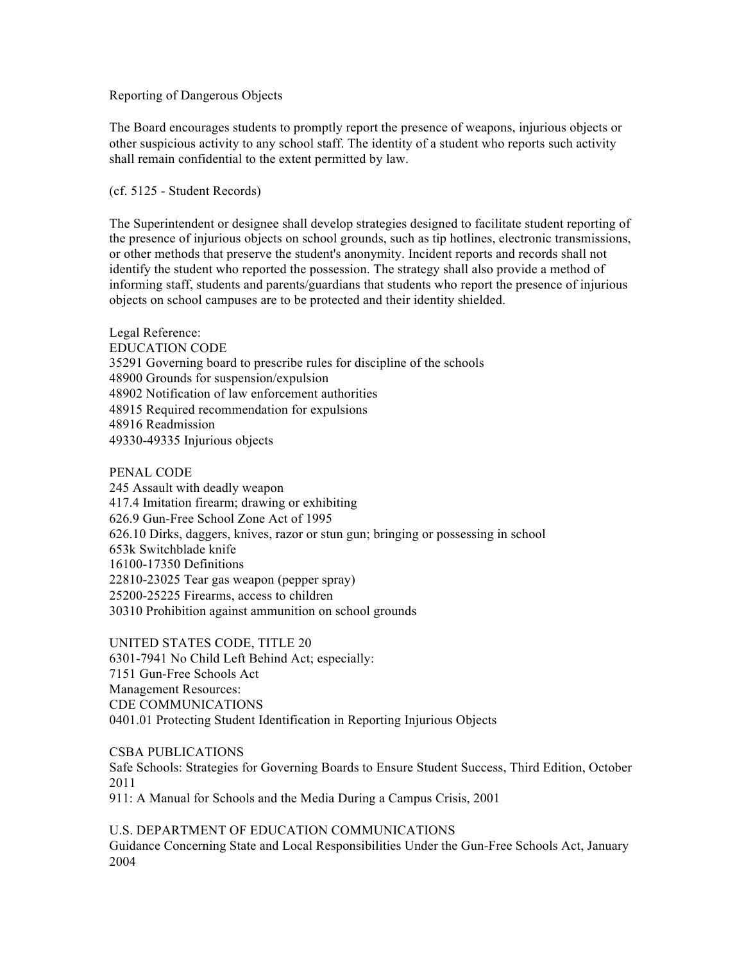## Reporting of Dangerous Objects

The Board encourages students to promptly report the presence of weapons, injurious objects or other suspicious activity to any school staff. The identity of a student who reports such activity shall remain confidential to the extent permitted by law.

(cf. 5125 - Student Records)

The Superintendent or designee shall develop strategies designed to facilitate student reporting of the presence of injurious objects on school grounds, such as tip hotlines, electronic transmissions, or other methods that preserve the student's anonymity. Incident reports and records shall not identify the student who reported the possession. The strategy shall also provide a method of informing staff, students and parents/guardians that students who report the presence of injurious objects on school campuses are to be protected and their identity shielded.

Legal Reference: EDUCATION CODE 35291 Governing board to prescribe rules for discipline of the schools 48900 Grounds for suspension/expulsion 48902 Notification of law enforcement authorities 48915 Required recommendation for expulsions 48916 Readmission 49330-49335 Injurious objects

PENAL CODE

245 Assault with deadly weapon 417.4 Imitation firearm; drawing or exhibiting 626.9 Gun-Free School Zone Act of 1995 626.10 Dirks, daggers, knives, razor or stun gun; bringing or possessing in school 653k Switchblade knife 16100-17350 Definitions 22810-23025 Tear gas weapon (pepper spray) 25200-25225 Firearms, access to children 30310 Prohibition against ammunition on school grounds

UNITED STATES CODE, TITLE 20 6301-7941 No Child Left Behind Act; especially: 7151 Gun-Free Schools Act Management Resources: CDE COMMUNICATIONS 0401.01 Protecting Student Identification in Reporting Injurious Objects

CSBA PUBLICATIONS Safe Schools: Strategies for Governing Boards to Ensure Student Success, Third Edition, October 2011 911: A Manual for Schools and the Media During a Campus Crisis, 2001

U.S. DEPARTMENT OF EDUCATION COMMUNICATIONS Guidance Concerning State and Local Responsibilities Under the Gun-Free Schools Act, January 2004